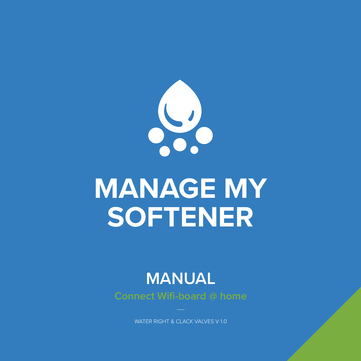

# **MANAGE MY SOFTENER**

## **MANUAL**

**Connect Wifi-board @ home**

WATER RIGHT & CLACK VALVES V 1.0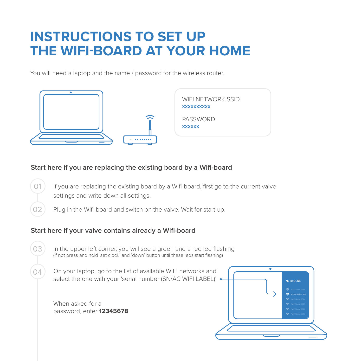### **INSTRUCTIONS TO SET UP THE WIFI-BOARD AT YOUR HOME**

You will need a laptop and the name / password for the wireless router.



#### **Start here if you are replacing the existing board by a Wifi-board**

- If you are replacing the existing board by a Wifi-board, first go to the current valve settings and write down all settings. 01
	- Plug in the Wifi-board and switch on the valve. Wait for start-up.

#### **Start here if your valve contains already a Wifi-board**

- In the upper left corner, you will see a green and a red led flashing (if not press and hold 'set clock' and 'down' button until these leds start flashing) 03
- On your laptop, go to the list of available WIFI networks and select the one with your 'serial number (SN/AC WIFI LABEL)' .  $04$

When asked for a password, enter **12345678**

 $O<sub>2</sub>$ 

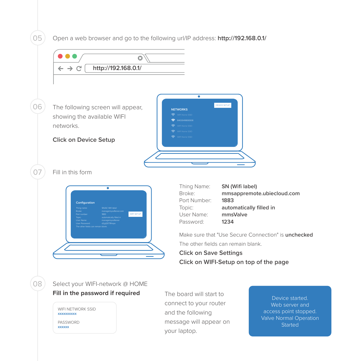Open a web browser and go to the following url/IP address: **http://192.168.0.1/**

05



Device started. Web server and access point stopped. Valve Normal Operation **Started**